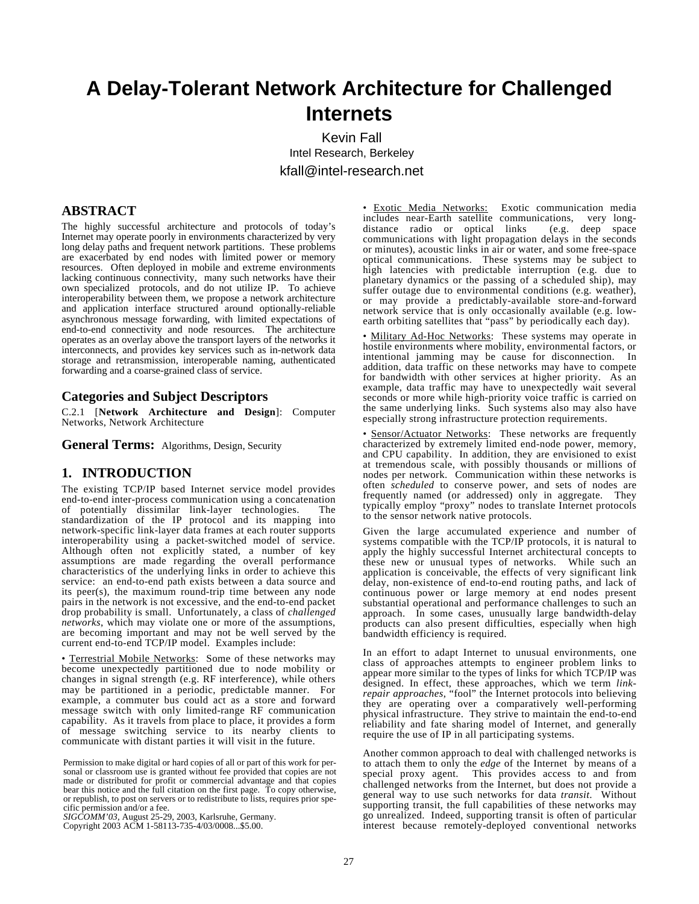# **A Delay-Tolerant Network Architecture for Challenged Internets**

Kevin Fall Intel Research, Berkeley kfall@intel-research.net

#### **ABSTRACT**

The highly successful architecture and protocols of today's Internet may operate poorly in environments characterized by very long delay paths and frequent network partitions. These problems are exacerbated by end nodes with limited power or memory resources. Often deployed in mobile and extreme environments lacking continuous connectivity, many such networks have their own specialized protocols, and do not utilize IP. To achieve interoperability between them, we propose a network architecture and application interface structured around optionally-reliable asynchronous message forwarding, with limited expectations of end-to-end connectivity and node resources. The architecture operates as an overlay above the transport layers of the networks it interconnects, and provides key services such as in-network data storage and retransmission, interoperable naming, authenticated forwarding and a coarse-grained class of service.

#### **Categories and Subject Descriptors**

C.2.1 [**Network Architecture and Design**]: Computer Networks, Network Architecture

**General Terms:** Algorithms, Design, Security

### **1. INTRODUCTION**

The existing TCP/IP based Internet service model provides end-to-end inter-process communication using a concatenation<br>of potentially dissimilar link-layer technologies. The of potentially dissimilar link-layer technologies. standardization of the IP protocol and its mapping into network-specific link-layer data frames at each router supports interoperability using a packet-switched model of service. Although often not explicitly stated, a number of key assumptions are made regarding the overall performance characteristics of the underlying links in order to achieve this service: an end-to-end path exists between a data source and its peer(s), the maximum round-trip time between any node pairs in the network is not excessive, and the end-to-end packet drop probability is small. Unfortunately, a class of *challenged networks*, which may violate one or more of the assumptions, are becoming important and may not be well served by the current end-to-end TCP/IP model. Examples include:

• Terrestrial Mobile Networks: Some of these networks may become unexpectedly partitioned due to node mobility or changes in signal strength (e.g. RF interference), while others may be partitioned in a periodic, predictable manner. For example, a commuter bus could act as a store and forward message switch with only limited-range RF communication capability. As it travels from place to place, it provides a form of message switching service to its nearby clients to communicate with distant parties it will visit in the future.

*SIGCOMM'03*, August 25-29, 2003, Karlsruhe, Germany.

Copyright 2003 ACM 1-58113-735-4/03/0008...\$5.00.

• Exotic Media Networks: Exotic communication media includes near-Earth satellite communications, very long-<br>distance radio or optical links (e.g. deep space distance radio or optical links communications with light propagation delays in the seconds or minutes), acoustic links in air or water, and some free-space optical communications. These systems may be subject to high latencies with predictable interruption (e.g. due to planetary dynamics or the passing of a scheduled ship), may suffer outage due to environmental conditions (e.g. weather), or may provide a predictably-available store-and-forward network service that is only occasionally available (e.g. lowearth orbiting satellites that "pass" by periodically each day).

• Military Ad-Hoc Networks: These systems may operate in hostile environments where mobility, environmental factors, or intentional jamming may be cause for disconnection. In addition, data traffic on these networks may have to compete for bandwidth with other services at higher priority. As an example, data traffic may have to unexpectedly wait several seconds or more while high-priority voice traffic is carried on the same underlying links. Such systems also may also have especially strong infrastructure protection requirements.

• Sensor/Actuator Networks: These networks are frequently characterized by extremely limited end-node power, memory, and CPU capability. In addition, they are envisioned to exist at tremendous scale, with possibly thousands or millions of nodes per network. Communication within these networks is often *scheduled* to conserve power, and sets of nodes are frequently named (or addressed) only in aggregate. They typically employ "proxy" nodes to translate Internet protocols to the sensor network native protocols.

Given the large accumulated experience and number of systems compatible with the TCP/IP protocols, it is natural to apply the highly successful Internet architectural concepts to these new or unusual types of networks. While such an application is conceivable, the effects of very significant link delay, non-existence of end-to-end routing paths, and lack of continuous power or large memory at end nodes present substantial operational and performance challenges to such an approach. In some cases, unusually large bandwidth-delay products can also present difficulties, especially when high bandwidth efficiency is required.

In an effort to adapt Internet to unusual environments, one class of approaches attempts to engineer problem links to appear more similar to the types of links for which TCP/IP was designed. In effect, these approaches, which we term *linkrepair approaches*, "fool" the Internet protocols into believing they are operating over a comparatively well-performing physical infrastructure. They strive to maintain the end-to-end reliability and fate sharing model of Internet, and generally require the use of IP in all participating systems.

Another common approach to deal with challenged networks is to attach them to only the *edge* of the Internet by means of a special proxy agent. This provides access to and from challenged networks from the Internet, but does not provide a general way to use such networks for data *transit*. Without supporting transit, the full capabilities of these networks may go unrealized. Indeed, supporting transit is often of particular interest because remotely-deployed conventional networks

Permission to make digital or hard copies of all or part of this work for personal or classroom use is granted without fee provided that copies are not made or distributed for profit or commercial advantage and that copies bear this notice and the full citation on the first page. To copy otherwise, or republish, to post on servers or to redistribute to lists, requires prior specific permission and/or a fee.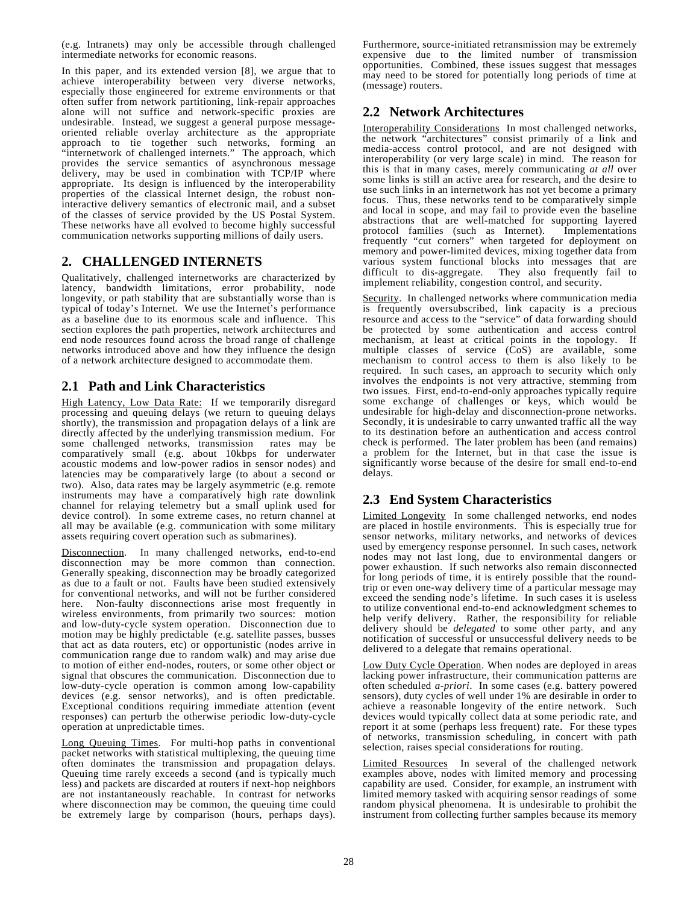(e.g. Intranets) may only be accessible through challenged intermediate networks for economic reasons.

In this paper, and its extended version [8], we argue that to achieve interoperability between very diverse networks, especially those engineered for extreme environments or that often suffer from network partitioning, link-repair approaches alone will not suffice and network-specific proxies are undesirable. Instead, we suggest a general purpose messageoriented reliable overlay architecture as the appropriate approach to tie together such networks, forming an "internetwork of challenged internets." The approach, which provides the service semantics of asynchronous message delivery, may be used in combination with TCP/IP where appropriate. Its design is influenced by the interoperability properties of the classical Internet design, the robust noninteractive delivery semantics of electronic mail, and a subset of the classes of service provided by the US Postal System. These networks have all evolved to become highly successful communication networks supporting millions of daily users.

# **2. CHALLENGED INTERNETS**

Qualitatively, challenged internetworks are characterized by latency, bandwidth limitations, error probability, node longevity, or path stability that are substantially worse than is typical of today's Internet. We use the Internet's performance as a baseline due to its enormous scale and influence. This section explores the path properties, network architectures and end node resources found across the broad range of challenge networks introduced above and how they influence the design of a network architecture designed to accommodate them.

# **2.1 Path and Link Characteristics**

High Latency, Low Data Rate: If we temporarily disregard processing and queuing delays (we return to queuing delays shortly), the transmission and propagation delays of a link are directly affected by the underlying transmission medium. For some challenged networks, transmission rates may be some challenged networks, transmission comparatively small (e.g. about 10kbps for underwater acoustic modems and low-power radios in sensor nodes) and latencies may be comparatively large (to about a second or two). Also, data rates may be largely asymmetric (e.g. remote instruments may have a comparatively high rate downlink channel for relaying telemetry but a small uplink used for device control). In some extreme cases, no return channel at all may be available (e.g. communication with some military assets requiring covert operation such as submarines).

Disconnection. In many challenged networks, end-to-end disconnection may be more common than connection. Generally speaking, disconnection may be broadly categorized as due to a fault or not. Faults have been studied extensively for conventional networks, and will not be further considered here. Non-faulty disconnections arise most frequently in wireless environments, from primarily two sources: motion and low-duty-cycle system operation. Disconnection due to motion may be highly predictable (e.g. satellite passes, busses that act as data routers, etc) or opportunistic (nodes arrive in communication range due to random walk) and may arise due to motion of either end-nodes, routers, or some other object or signal that obscures the communication. Disconnection due to low-duty-cycle operation is common among low-capability devices (e.g. sensor networks), and is often predictable. Exceptional conditions requiring immediate attention (event responses) can perturb the otherwise periodic low-duty-cycle operation at unpredictable times.

Long Queuing Times. For multi-hop paths in conventional packet networks with statistical multiplexing, the queuing time often dominates the transmission and propagation delays. Queuing time rarely exceeds a second (and is typically much less) and packets are discarded at routers if next-hop neighbors are not instantaneously reachable. In contrast for networks where disconnection may be common, the queuing time could be extremely large by comparison (hours, perhaps days).

Furthermore, source-initiated retransmission may be extremely expensive due to the limited number of transmission opportunities. Combined, these issues suggest that messages may need to be stored for potentially long periods of time at (message) routers.

# **2.2 Network Architectures**

Interoperability Considerations In most challenged networks, the network "architectures" consist primarily of a link and media-access control protocol, and are not designed with interoperability (or very large scale) in mind. The reason for this is that in many cases, merely communicating *at all* over some links is still an active area for research, and the desire to use such links in an internetwork has not yet become a primary focus. Thus, these networks tend to be comparatively simple and local in scope, and may fail to provide even the baseline abstractions that are well-matched for supporting layered<br>protocol families (such as Internet). Implementations protocol families (such as Internet). frequently "cut corners" when targeted for deployment on memory and power-limited devices, mixing together data from various system functional blocks into messages that are difficult to dis-aggregate. They also frequently fail to They also frequently fail to implement reliability, congestion control, and security.

Security. In challenged networks where communication media is frequently oversubscribed, link capacity is a precious resource and access to the "service" of data forwarding should be protected by some authentication and access control mechanism, at least at critical points in the topology. If multiple classes of service (CoS) are available, some mechanism to control access to them is also likely to be required. In such cases, an approach to security which only involves the endpoints is not very attractive, stemming from two issues. First, end-to-end-only approaches typically require some exchange of challenges or keys, which would be undesirable for high-delay and disconnection-prone networks. Secondly, it is undesirable to carry unwanted traffic all the way to its destination before an authentication and access control check is performed. The later problem has been (and remains) a problem for the Internet, but in that case the issue is significantly worse because of the desire for small end-to-end delays.

# **2.3 End System Characteristics**

Limited Longevity In some challenged networks, end nodes are placed in hostile environments. This is especially true for sensor networks, military networks, and networks of devices used by emergency response personnel. In such cases, network nodes may not last long, due to environmental dangers or power exhaustion. If such networks also remain disconnected for long periods of time, it is entirely possible that the roundtrip or even one-way delivery time of a particular message may exceed the sending node's lifetime. In such cases it is useless to utilize conventional end-to-end acknowledgment schemes to help verify delivery. Rather, the responsibility for reliable delivery should be *delegated* to some other party, and any notification of successful or unsuccessful delivery needs to be delivered to a delegate that remains operational.

Low Duty Cycle Operation. When nodes are deployed in areas lacking power infrastructure, their communication patterns are often scheduled *a-priori*. In some cases (e.g. battery powered sensors), duty cycles of well under 1% are desirable in order to achieve a reasonable longevity of the entire network. Such devices would typically collect data at some periodic rate, and report it at some (perhaps less frequent) rate. For these types of networks, transmission scheduling, in concert with path selection, raises special considerations for routing.

Limited Resources In several of the challenged network examples above, nodes with limited memory and processing capability are used. Consider, for example, an instrument with limited memory tasked with acquiring sensor readings of some random physical phenomena. It is undesirable to prohibit the instrument from collecting further samples because its memory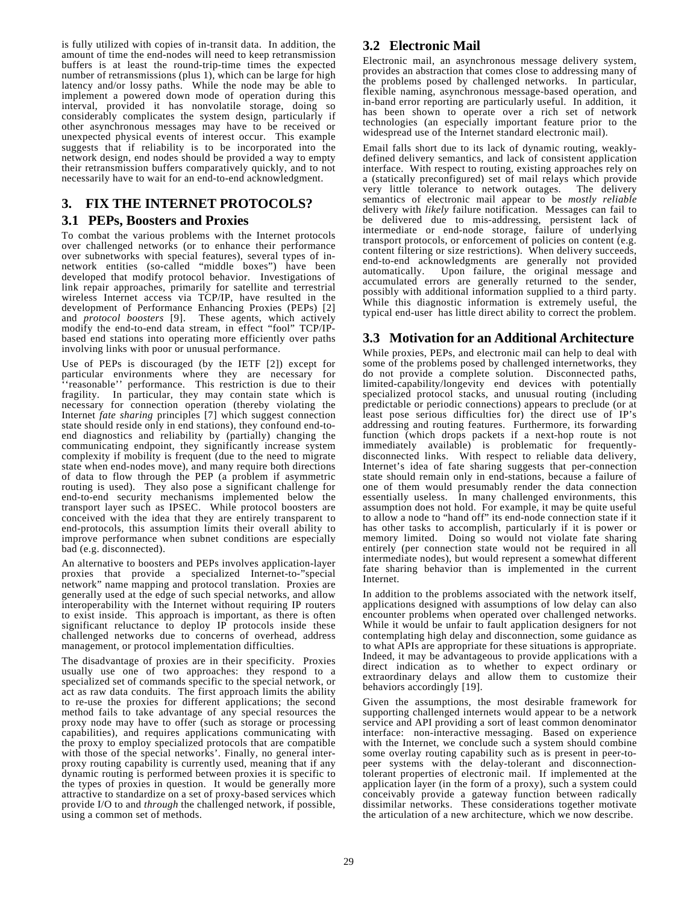is fully utilized with copies of in-transit data. In addition, the amount of time the end-nodes will need to keep retransmission buffers is at least the round-trip-time times the expected number of retransmissions (plus 1), which can be large for high latency and/or lossy paths. While the node may be able to implement a powered down mode of operation during this interval, provided it has nonvolatile storage, doing so considerably complicates the system design, particularly if other asynchronous messages may have to be received or unexpected physical events of interest occur. This example suggests that if reliability is to be incorporated into the network design, end nodes should be provided a way to empty their retransmission buffers comparatively quickly, and to not necessarily have to wait for an end-to-end acknowledgment.

# **3. FIX THE INTERNET PROTOCOLS?**

### **3.1 PEPs, Boosters and Proxies**

To combat the various problems with the Internet protocols over challenged networks (or to enhance their performance over subnetworks with special features), several types of innetwork entities (so-called "middle boxes") have been developed that modify protocol behavior. Investigations of link repair approaches, primarily for satellite and terrestrial wireless Internet access via TCP/IP, have resulted in the development of Performance Enhancing Proxies (PEPs) [2] and *protocol boosters* [9]. These agents, which actively modify the end-to-end data stream, in effect "fool" TCP/IPbased end stations into operating more efficiently over paths involving links with poor or unusual performance.

Use of PEPs is discouraged (by the IETF [2]) except for particular environments where they are necessary for 'reasonable'' performance. This restriction is due to their fragility. In particular, they may contain state which is necessary for connection operation (thereby violating the Internet *fate sharing* principles [7] which suggest connection state should reside only in end stations), they confound end-toend diagnostics and reliability by (partially) changing the communicating endpoint, they significantly increase system complexity if mobility is frequent (due to the need to migrate state when end-nodes move), and many require both directions of data to flow through the PEP (a problem if asymmetric routing is used). They also pose a significant challenge for end-to-end security mechanisms implemented below the transport layer such as IPSEC. While protocol boosters are conceived with the idea that they are entirely transparent to end-protocols, this assumption limits their overall ability to improve performance when subnet conditions are especially bad (e.g. disconnected).

An alternative to boosters and PEPs involves application-layer proxies that provide a specialized Internet-to-"special network" name mapping and protocol translation. Proxies are generally used at the edge of such special networks, and allow interoperability with the Internet without requiring IP routers to exist inside. This approach is important, as there is often significant reluctance to deploy IP protocols inside these challenged networks due to concerns of overhead, address management, or protocol implementation difficulties.

The disadvantage of proxies are in their specificity. Proxies usually use one of two approaches: they respond to a specialized set of commands specific to the special network, or act as raw data conduits. The first approach limits the ability to re-use the proxies for different applications; the second method fails to take advantage of any special resources the proxy node may have to offer (such as storage or processing capabilities), and requires applications communicating with the proxy to employ specialized protocols that are compatible with those of the special networks'. Finally, no general interproxy routing capability is currently used, meaning that if any dynamic routing is performed between proxies it is specific to the types of proxies in question. It would be generally more attractive to standardize on a set of proxy-based services which provide I/O to and *through* the challenged network, if possible, using a common set of methods.

# **3.2 Electronic Mail**

Electronic mail, an asynchronous message delivery system, provides an abstraction that comes close to addressing many of the problems posed by challenged networks. In particular, flexible naming, asynchronous message-based operation, and in-band error reporting are particularly useful. In addition, it has been shown to operate over a rich set of network technologies (an especially important feature prior to the widespread use of the Internet standard electronic mail).

Email falls short due to its lack of dynamic routing, weaklydefined delivery semantics, and lack of consistent application interface. With respect to routing, existing approaches rely on a (statically preconfigured) set of mail relays which provide very little tolerance to network outages. The delivery semantics of electronic mail appear to be *mostly reliable* delivery with *likely* failure notification. Messages can fail to be delivered due to mis-addressing, persistent lack of intermediate or end-node storage, failure of underlying transport protocols, or enforcement of policies on content (e.g. content filtering or size restrictions). When delivery succeeds, end-to-end acknowledgments are generally not provided automatically. Upon failure, the original message and accumulated errors are generally returned to the sender, possibly with additional information supplied to a third party. While this diagnostic information is extremely useful, the typical end-user has little direct ability to correct the problem.

### **3.3 Motivation for an Additional Architecture**

While proxies, PEPs, and electronic mail can help to deal with some of the problems posed by challenged internetworks, they do not provide a complete solution. Disconnected paths, limited-capability/longevity end devices with potentially specialized protocol stacks, and unusual routing (including predictable or periodic connections) appears to preclude (or at least pose serious difficulties for) the direct use of IP's addressing and routing features. Furthermore, its forwarding function (which drops packets if a next-hop route is not immediately available) is problematic for frequentlydisconnected links. With respect to reliable data delivery, Internet's idea of fate sharing suggests that per-connection state should remain only in end-stations, because a failure of one of them would presumably render the data connection essentially useless. In many challenged environments, this assumption does not hold. For example, it may be quite useful to allow a node to "hand off" its end-node connection state if it has other tasks to accomplish, particularly if it is power or memory limited. Doing so would not violate fate sharing entirely (per connection state would not be required in all intermediate nodes), but would represent a somewhat different fate sharing behavior than is implemented in the current Internet.

In addition to the problems associated with the network itself, applications designed with assumptions of low delay can also encounter problems when operated over challenged networks. While it would be unfair to fault application designers for not contemplating high delay and disconnection, some guidance as to what APIs are appropriate for these situations is appropriate. Indeed, it may be advantageous to provide applications with a direct indication as to whether to expect ordinary or extraordinary delays and allow them to customize their behaviors accordingly [19].

Given the assumptions, the most desirable framework for supporting challenged internets would appear to be a network service and API providing a sort of least common denominator interface: non-interactive messaging. Based on experience with the Internet, we conclude such a system should combine some overlay routing capability such as is present in peer-topeer systems with the delay-tolerant and disconnectiontolerant properties of electronic mail. If implemented at the application layer (in the form of a proxy), such a system could conceivably provide a gateway function between radically dissimilar networks. These considerations together motivate the articulation of a new architecture, which we now describe.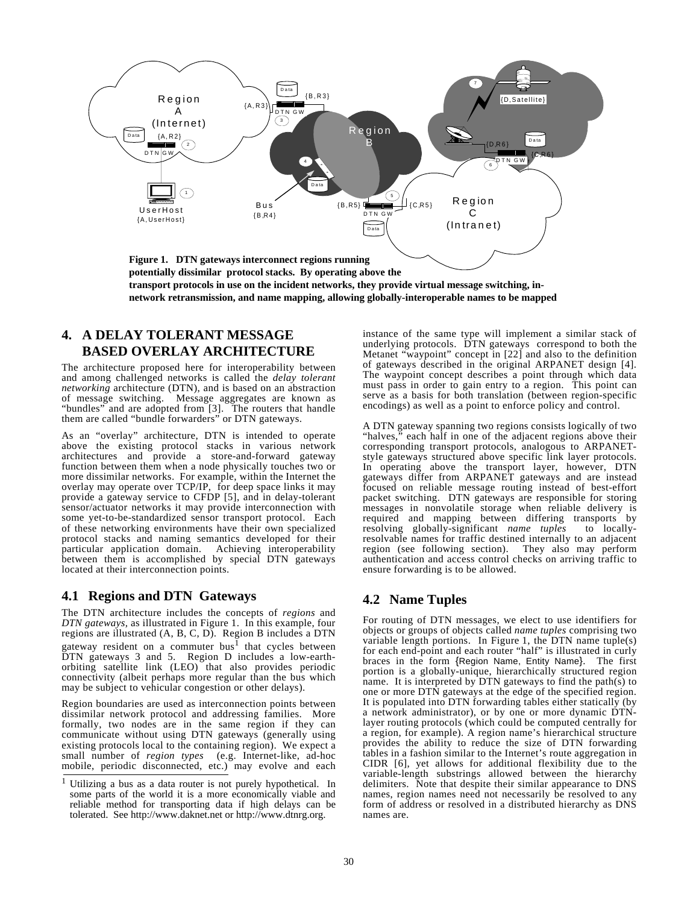

**network retransmission, and name mapping, allowing globally-interoperable names to be mapped** 

# **4. A DELAY TOLERANT MESSAGE BASED OVERLAY ARCHITECTURE**

The architecture proposed here for interoperability between and among challenged networks is called the *delay tolerant networking* architecture (DTN), and is based on an abstraction of message switching. Message aggregates are known as "bundles" and are adopted from [3]. The routers that handle them are called "bundle forwarders" or DTN gateways.

As an "overlay" architecture, DTN is intended to operate above the existing protocol stacks in various network architectures and provide a store-and-forward gateway function between them when a node physically touches two or more dissimilar networks. For example, within the Internet the overlay may operate over TCP/IP, for deep space links it may provide a gateway service to CFDP [5], and in delay-tolerant sensor/actuator networks it may provide interconnection with some yet-to-be-standardized sensor transport protocol. Each of these networking environments have their own specialized protocol stacks and naming semantics developed for their particular application domain. Achieving interoperability between them is accomplished by special DTN gateways located at their interconnection points.

# **4.1 Regions and DTN Gateways**

The DTN architecture includes the concepts of *regions* and *DTN gateways,* as illustrated in Figure 1. In this example, four regions are illustrated (A, B, C, D). Region B includes a DTN gateway resident on a commuter bus<sup>1</sup> that cycles between DTN gateways 3 and 5. Region D includes a low-earthorbiting satellite link (LEO) that also provides periodic connectivity (albeit perhaps more regular than the bus which may be subject to vehicular congestion or other delays).

Region boundaries are used as interconnection points between dissimilar network protocol and addressing families. More formally, two nodes are in the same region if they can communicate without using DTN gateways (generally using existing protocols local to the containing region). We expect a small number of *region types* (e.g. Internet-like, ad-hoc mobile, periodic disconnected, etc.) may evolve and each

instance of the same type will implement a similar stack of underlying protocols. DTN gateways correspond to both the Metanet "waypoint" concept in [22] and also to the definition of gateways described in the original ARPANET design [4]. The waypoint concept describes a point through which data must pass in order to gain entry to a region. This point can serve as a basis for both translation (between region-specific encodings) as well as a point to enforce policy and control.

A DTN gateway spanning two regions consists logically of two "halves," each half in one of the adjacent regions above their corresponding transport protocols, analogous to ARPANETstyle gateways structured above specific link layer protocols. In operating above the transport layer, however, DTN gateways differ from ARPANET gateways and are instead focused on reliable message routing instead of best-effort packet switching. DTN gateways are responsible for storing messages in nonvolatile storage when reliable delivery is required and mapping between differing transports by resolving globally-significant *name tuples* to locallyresolving globally-significant *name tuples* resolvable names for traffic destined internally to an adjacent region (see following section). They also may perform authentication and access control checks on arriving traffic to ensure forwarding is to be allowed.

# **4.2 Name Tuples**

For routing of DTN messages, we elect to use identifiers for objects or groups of objects called *name tuples* comprising two variable length portions. In Figure 1, the DTN name tuple(s) for each end-point and each router "half" is illustrated in curly braces in the form {Region Name, Entity Name}. The first portion is a globally-unique, hierarchically structured region name. It is interpreted by  $DTN$  gateways to find the path $(s)$  to one or more DTN gateways at the edge of the specified region. It is populated into DTN forwarding tables either statically (by a network administrator), or by one or more dynamic DTNlayer routing protocols (which could be computed centrally for a region, for example). A region name's hierarchical structure provides the ability to reduce the size of DTN forwarding tables in a fashion similar to the Internet's route aggregation in CIDR [6], yet allows for additional flexibility due to the variable-length substrings allowed between the hierarchy delimiters. Note that despite their similar appearance to DNS names, region names need not necessarily be resolved to any form of address or resolved in a distributed hierarchy as DNS names are.

<sup>1</sup> Utilizing a bus as a data router is not purely hypothetical. In some parts of the world it is a more economically viable and reliable method for transporting data if high delays can be tolerated. See http://www.daknet.net or http://www.dtnrg.org.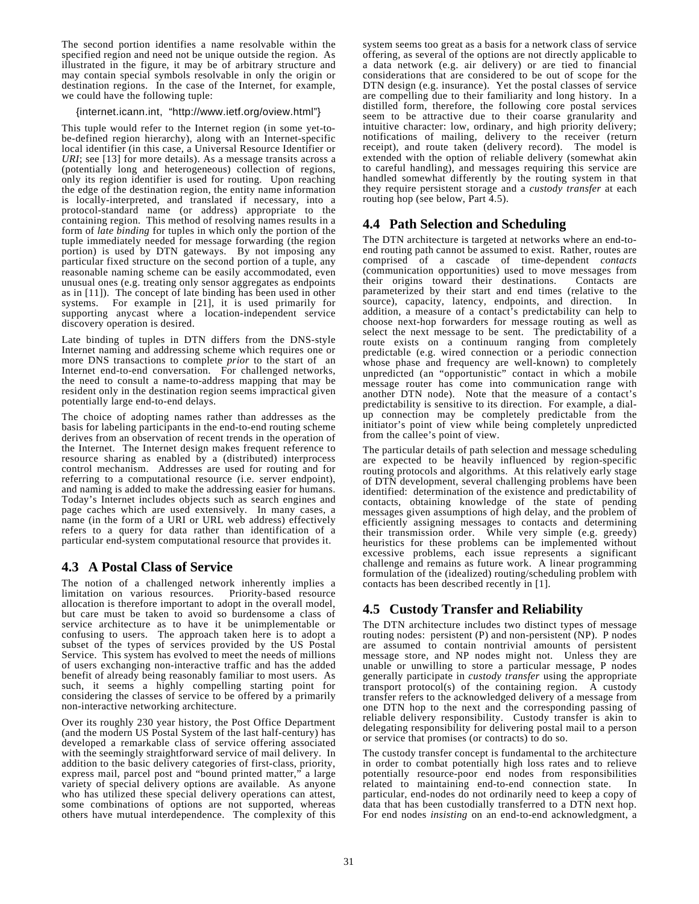The second portion identifies a name resolvable within the specified region and need not be unique outside the region. As illustrated in the figure, it may be of arbitrary structure and may contain special symbols resolvable in only the origin or destination regions. In the case of the Internet, for example, we could have the following tuple:

#### {internet.icann.int, "http://www.ietf.org/oview.html"}

This tuple would refer to the Internet region (in some yet-tobe-defined region hierarchy), along with an Internet-specific local identifier (in this case, a Universal Resource Identifier or *URI*; see [13] for more details). As a message transits across a (potentially long and heterogeneous) collection of regions, only its region identifier is used for routing. Upon reaching the edge of the destination region, the entity name information is locally-interpreted, and translated if necessary, into a protocol-standard name (or address) appropriate to the containing region. This method of resolving names results in a form of *late binding* for tuples in which only the portion of the tuple immediately needed for message forwarding (the region portion) is used by DTN gateways. By not imposing any particular fixed structure on the second portion of a tuple, any reasonable naming scheme can be easily accommodated, even unusual ones (e.g. treating only sensor aggregates as endpoints as in [11]). The concept of late binding has been used in other systems. For example in [21], it is used primarily for supporting anycast where a location-independent service discovery operation is desired.

Late binding of tuples in DTN differs from the DNS-style Internet naming and addressing scheme which requires one or more DNS transactions to complete *prior* to the start of an Internet end-to-end conversation. For challenged networks, the need to consult a name-to-address mapping that may be resident only in the destination region seems impractical given potentially large end-to-end delays.

The choice of adopting names rather than addresses as the basis for labeling participants in the end-to-end routing scheme derives from an observation of recent trends in the operation of the Internet. The Internet design makes frequent reference to resource sharing as enabled by a (distributed) interprocess control mechanism. Addresses are used for routing and for referring to a computational resource (i.e. server endpoint), and naming is added to make the addressing easier for humans. Today's Internet includes objects such as search engines and page caches which are used extensively. In many cases, a name (in the form of a URI or URL web address) effectively refers to a query for data rather than identification of a particular end-system computational resource that provides it.

### **4.3 A Postal Class of Service**

The notion of a challenged network inherently implies a limitation on various resources. Priority-based resource allocation is therefore important to adopt in the overall model, but care must be taken to avoid so burdensome a class of service architecture as to have it be unimplementable or confusing to users. The approach taken here is to adopt a subset of the types of services provided by the US Postal Service. This system has evolved to meet the needs of millions of users exchanging non-interactive traffic and has the added benefit of already being reasonably familiar to most users. As such, it seems a highly compelling starting point for considering the classes of service to be offered by a primarily non-interactive networking architecture.

Over its roughly 230 year history, the Post Office Department (and the modern US Postal System of the last half-century) has developed a remarkable class of service offering associated with the seemingly straightforward service of mail delivery. In addition to the basic delivery categories of first-class, priority, express mail, parcel post and "bound printed matter," a large variety of special delivery options are available. As anyone who has utilized these special delivery operations can attest, some combinations of options are not supported, whereas others have mutual interdependence. The complexity of this

system seems too great as a basis for a network class of service offering, as several of the options are not directly applicable to a data network (e.g. air delivery) or are tied to financial considerations that are considered to be out of scope for the DTN design (e.g. insurance). Yet the postal classes of service are compelling due to their familiarity and long history. In a distilled form, therefore, the following core postal services seem to be attractive due to their coarse granularity and intuitive character: low, ordinary, and high priority delivery; notifications of mailing, delivery to the receiver (return receipt), and route taken (delivery record). The model is extended with the option of reliable delivery (somewhat akin to careful handling), and messages requiring this service are handled somewhat differently by the routing system in that they require persistent storage and a *custody transfer* at each routing hop (see below, Part 4.5).

# **4.4 Path Selection and Scheduling**

The DTN architecture is targeted at networks where an end-toend routing path cannot be assumed to exist. Rather, routes are comprised of a cascade of time-dependent *contacts* (communication opportunities) used to move messages from their origins toward their destinations. parameterized by their start and end times (relative to the source), capacity, latency, endpoints, and direction. In addition, a measure of a contact's predictability can help to choose next-hop forwarders for message routing as well as select the next message to be sent. The predictability of a route exists on a continuum ranging from completely predictable (e.g. wired connection or a periodic connection whose phase and frequency are well-known) to completely unpredicted (an "opportunistic" contact in which a mobile message router has come into communication range with another DTN node). Note that the measure of a contact's predictability is sensitive to its direction. For example, a dialup connection may be completely predictable from the initiator's point of view while being completely unpredicted from the callee's point of view.

The particular details of path selection and message scheduling are expected to be heavily influenced by region-specific routing protocols and algorithms. At this relatively early stage of DTN development, several challenging problems have been identified: determination of the existence and predictability of contacts, obtaining knowledge of the state of pending messages given assumptions of high delay, and the problem of efficiently assigning messages to contacts and determining their transmission order. While very simple (e.g. greedy) heuristics for these problems can be implemented without excessive problems, each issue represents a significant challenge and remains as future work. A linear programming formulation of the (idealized) routing/scheduling problem with contacts has been described recently in [1].

# **4.5 Custody Transfer and Reliability**

The DTN architecture includes two distinct types of message routing nodes: persistent (P) and non-persistent (NP). P nodes are assumed to contain nontrivial amounts of persistent message store, and NP nodes might not. Unless they are unable or unwilling to store a particular message, P nodes generally participate in *custody transfer* using the appropriate transport protocol(s) of the containing region. A custody transfer refers to the acknowledged delivery of a message from one DTN hop to the next and the corresponding passing of reliable delivery responsibility. Custody transfer is akin to delegating responsibility for delivering postal mail to a person or service that promises (or contracts) to do so.

The custody transfer concept is fundamental to the architecture in order to combat potentially high loss rates and to relieve potentially resource-poor end nodes from responsibilities related to maintaining end-to-end connection state. In particular, end-nodes do not ordinarily need to keep a copy of data that has been custodially transferred to a DTN next hop. For end nodes *insisting* on an end-to-end acknowledgment, a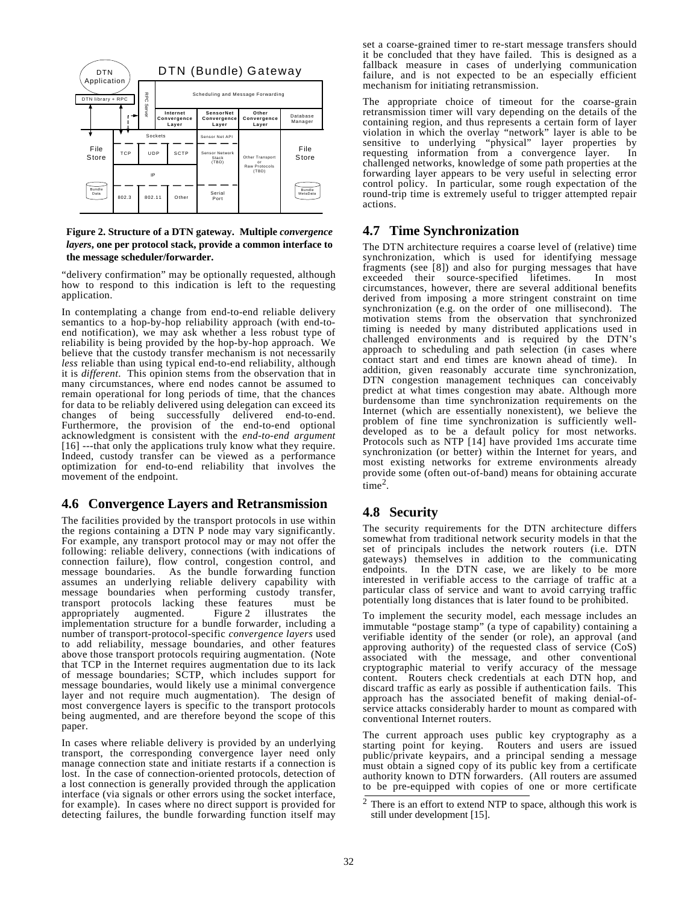

**Figure 2. Structure of a DTN gateway. Multiple** *convergence layers***, one per protocol stack, provide a common interface to the message scheduler/forwarder.**

"delivery confirmation" may be optionally requested, although how to respond to this indication is left to the requesting application.

In contemplating a change from end-to-end reliable delivery semantics to a hop-by-hop reliability approach (with end-toend notification), we may ask whether a less robust type of reliability is being provided by the hop-by-hop approach. We believe that the custody transfer mechanism is not necessarily *less* reliable than using typical end-to-end reliability, although it is *different*. This opinion stems from the observation that in many circumstances, where end nodes cannot be assumed to remain operational for long periods of time, that the chances for data to be reliably delivered using delegation can exceed its changes of being successfully delivered end-to-end. Furthermore, the provision of the end-to-end optional acknowledgment is consistent with the *end-to-end argument* [16] ---that only the applications truly know what they require. Indeed, custody transfer can be viewed as a performance optimization for end-to-end reliability that involves the movement of the endpoint.

### **4.6 Convergence Layers and Retransmission**

The facilities provided by the transport protocols in use within the regions containing a DTN P node may vary significantly. For example, any transport protocol may or may not offer the following: reliable delivery, connections (with indications of connection failure), flow control, congestion control, and message boundaries. As the bundle forwarding function assumes an underlying reliable delivery capability with message boundaries when performing custody transfer, transport protocols lacking these features must be transport protocols lacking these features appropriately augmented. Figure 2 illustrates the implementation structure for a bundle forwarder, including a number of transport-protocol-specific *convergence layers* used to add reliability, message boundaries, and other features above those transport protocols requiring augmentation. (Note that TCP in the Internet requires augmentation due to its lack of message boundaries; SCTP, which includes support for message boundaries, would likely use a minimal convergence layer and not require much augmentation). The design of most convergence layers is specific to the transport protocols being augmented, and are therefore beyond the scope of this paper.

In cases where reliable delivery is provided by an underlying transport, the corresponding convergence layer need only manage connection state and initiate restarts if a connection is lost. In the case of connection-oriented protocols, detection of a lost connection is generally provided through the application interface (via signals or other errors using the socket interface, for example). In cases where no direct support is provided for detecting failures, the bundle forwarding function itself may set a coarse-grained timer to re-start message transfers should it be concluded that they have failed. This is designed as a fallback measure in cases of underlying communication failure, and is not expected to be an especially efficient mechanism for initiating retransmission.

The appropriate choice of timeout for the coarse-grain retransmission timer will vary depending on the details of the containing region, and thus represents a certain form of layer violation in which the overlay "network" layer is able to be sensitive to underlying "physical" layer properties by requesting information from a convergence layer. In challenged networks, knowledge of some path properties at the forwarding layer appears to be very useful in selecting error control policy. In particular, some rough expectation of the round-trip time is extremely useful to trigger attempted repair actions.

### **4.7 Time Synchronization**

The DTN architecture requires a coarse level of (relative) time synchronization, which is used for identifying message fragments (see [8]) and also for purging messages that have exceeded their source-specified lifetimes. circumstances, however, there are several additional benefits derived from imposing a more stringent constraint on time synchronization (e.g. on the order of one millisecond). The motivation stems from the observation that synchronized timing is needed by many distributed applications used in challenged environments and is required by the DTN's approach to scheduling and path selection (in cases where contact start and end times are known ahead of time). In addition, given reasonably accurate time synchronization, DTN congestion management techniques can conceivably predict at what times congestion may abate. Although more burdensome than time synchronization requirements on the Internet (which are essentially nonexistent), we believe the problem of fine time synchronization is sufficiently welldeveloped as to be a default policy for most networks. Protocols such as NTP [14] have provided 1ms accurate time synchronization (or better) within the Internet for years, and most existing networks for extreme environments already provide some (often out-of-band) means for obtaining accurate  $time<sup>2</sup>$ .

# **4.8 Security**

The security requirements for the DTN architecture differs somewhat from traditional network security models in that the set of principals includes the network routers (i.e. DTN gateways) themselves in addition to the communicating endpoints. In the DTN case, we are likely to be more interested in verifiable access to the carriage of traffic at a particular class of service and want to avoid carrying traffic potentially long distances that is later found to be prohibited.

To implement the security model, each message includes an immutable "postage stamp" (a type of capability) containing a verifiable identity of the sender (or role), an approval (and approving authority) of the requested class of service (CoS) associated with the message, and other conventional cryptographic material to verify accuracy of the message content. Routers check credentials at each DTN hop, and discard traffic as early as possible if authentication fails. This approach has the associated benefit of making denial-ofservice attacks considerably harder to mount as compared with conventional Internet routers.

The current approach uses public key cryptography as a starting point for keying. Routers and users are issued public/private keypairs, and a principal sending a message must obtain a signed copy of its public key from a certificate authority known to DTN forwarders. (All routers are assumed to be pre-equipped with copies of one or more certificate

 $2$  There is an effort to extend NTP to space, although this work is still under development [15].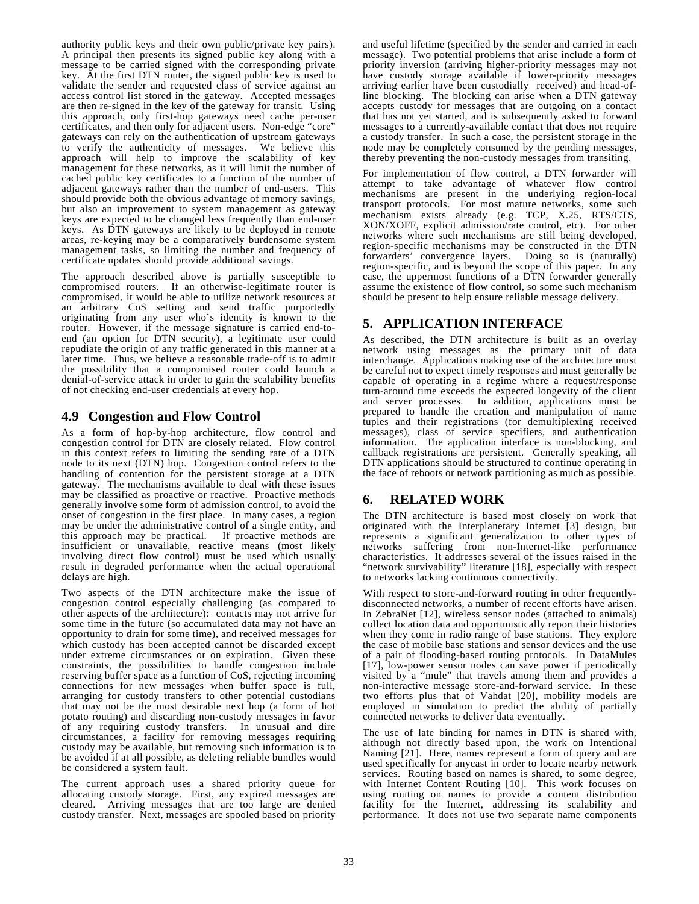authority public keys and their own public/private key pairs). A principal then presents its signed public key along with a message to be carried signed with the corresponding private key. At the first DTN router, the signed public key is used to validate the sender and requested class of service against an access control list stored in the gateway. Accepted messages are then re-signed in the key of the gateway for transit. Using this approach, only first-hop gateways need cache per-user certificates, and then only for adjacent users. Non-edge "core" gateways can rely on the authentication of upstream gateways to verify the authenticity of messages. We believe this approach will help to improve the scalability of key management for these networks, as it will limit the number of cached public key certificates to a function of the number of adjacent gateways rather than the number of end-users. This should provide both the obvious advantage of memory savings, but also an improvement to system management as gateway keys are expected to be changed less frequently than end-user keys. As DTN gateways are likely to be deployed in remote areas, re-keying may be a comparatively burdensome system management tasks, so limiting the number and frequency of certificate updates should provide additional savings.

The approach described above is partially susceptible to compromised routers. If an otherwise-legitimate router is compromised, it would be able to utilize network resources at an arbitrary CoS setting and send traffic purportedly originating from any user who's identity is known to the router. However, if the message signature is carried end-toend (an option for DTN security), a legitimate user could repudiate the origin of any traffic generated in this manner at a later time. Thus, we believe a reasonable trade-off is to admit the possibility that a compromised router could launch a denial-of-service attack in order to gain the scalability benefits of not checking end-user credentials at every hop.

# **4.9 Congestion and Flow Control**

As a form of hop-by-hop architecture, flow control and congestion control for DTN are closely related. Flow control in this context refers to limiting the sending rate of a DTN node to its next (DTN) hop. Congestion control refers to the handling of contention for the persistent storage at a DTN gateway. The mechanisms available to deal with these issues may be classified as proactive or reactive. Proactive methods generally involve some form of admission control, to avoid the onset of congestion in the first place. In many cases, a region may be under the administrative control of a single entity, and this approach may be practical. If proactive methods are insufficient or unavailable, reactive means (most likely involving direct flow control) must be used which usually result in degraded performance when the actual operational delays are high.

Two aspects of the DTN architecture make the issue of congestion control especially challenging (as compared to other aspects of the architecture): contacts may not arrive for some time in the future (so accumulated data may not have an opportunity to drain for some time), and received messages for which custody has been accepted cannot be discarded except under extreme circumstances or on expiration. Given these constraints, the possibilities to handle congestion include reserving buffer space as a function of CoS, rejecting incoming connections for new messages when buffer space is full, arranging for custody transfers to other potential custodians that may not be the most desirable next hop (a form of hot potato routing) and discarding non-custody messages in favor of any requiring custody transfers. In unusual and dire circumstances, a facility for removing messages requiring custody may be available, but removing such information is to be avoided if at all possible, as deleting reliable bundles would be considered a system fault.

The current approach uses a shared priority queue for allocating custody storage. First, any expired messages are cleared. Arriving messages that are too large are denied custody transfer. Next, messages are spooled based on priority and useful lifetime (specified by the sender and carried in each message). Two potential problems that arise include a form of priority inversion (arriving higher-priority messages may not have custody storage available if lower-priority messages arriving earlier have been custodially received) and head-ofline blocking. The blocking can arise when a DTN gateway accepts custody for messages that are outgoing on a contact that has not yet started, and is subsequently asked to forward messages to a currently-available contact that does not require a custody transfer. In such a case, the persistent storage in the node may be completely consumed by the pending messages, thereby preventing the non-custody messages from transiting.

For implementation of flow control, a DTN forwarder will attempt to take advantage of whatever flow control mechanisms are present in the underlying region-local transport protocols. For most mature networks, some such mechanism exists already (e.g. TCP, X.25, RTS/CTS, XON/XOFF, explicit admission/rate control, etc). For other networks where such mechanisms are still being developed, region-specific mechanisms may be constructed in the DTN forwarders' convergence layers. Doing so is (naturally) region-specific, and is beyond the scope of this paper. In any case, the uppermost functions of a DTN forwarder generally assume the existence of flow control, so some such mechanism should be present to help ensure reliable message delivery.

# **5. APPLICATION INTERFACE**

As described, the DTN architecture is built as an overlay network using messages as the primary unit of data interchange. Applications making use of the architecture must be careful not to expect timely responses and must generally be capable of operating in a regime where a request/response turn-around time exceeds the expected longevity of the client and server processes. In addition, applications must be prepared to handle the creation and manipulation of name tuples and their registrations (for demultiplexing received messages), class of service specifiers, and authentication information. The application interface is non-blocking, and callback registrations are persistent. Generally speaking, all DTN applications should be structured to continue operating in the face of reboots or network partitioning as much as possible.

# **6. RELATED WORK**

The DTN architecture is based most closely on work that originated with the Interplanetary Internet [3] design, but represents a significant generalization to other types of networks suffering from non-Internet-like performance characteristics. It addresses several of the issues raised in the "network survivability" literature [18], especially with respect to networks lacking continuous connectivity.

With respect to store-and-forward routing in other frequentlydisconnected networks, a number of recent efforts have arisen. In ZebraNet [12], wireless sensor nodes (attached to animals) collect location data and opportunistically report their histories when they come in radio range of base stations. They explore the case of mobile base stations and sensor devices and the use of a pair of flooding-based routing protocols. In DataMules [17], low-power sensor nodes can save power if periodically visited by a "mule" that travels among them and provides a non-interactive message store-and-forward service. In these two efforts plus that of Vahdat [20], mobility models are employed in simulation to predict the ability of partially connected networks to deliver data eventually.

The use of late binding for names in DTN is shared with, although not directly based upon, the work on Intentional Naming [21]. Here, names represent a form of query and are used specifically for anycast in order to locate nearby network services. Routing based on names is shared, to some degree, with Internet Content Routing [10]. This work focuses on using routing on names to provide a content distribution facility for the Internet, addressing its scalability and performance. It does not use two separate name components